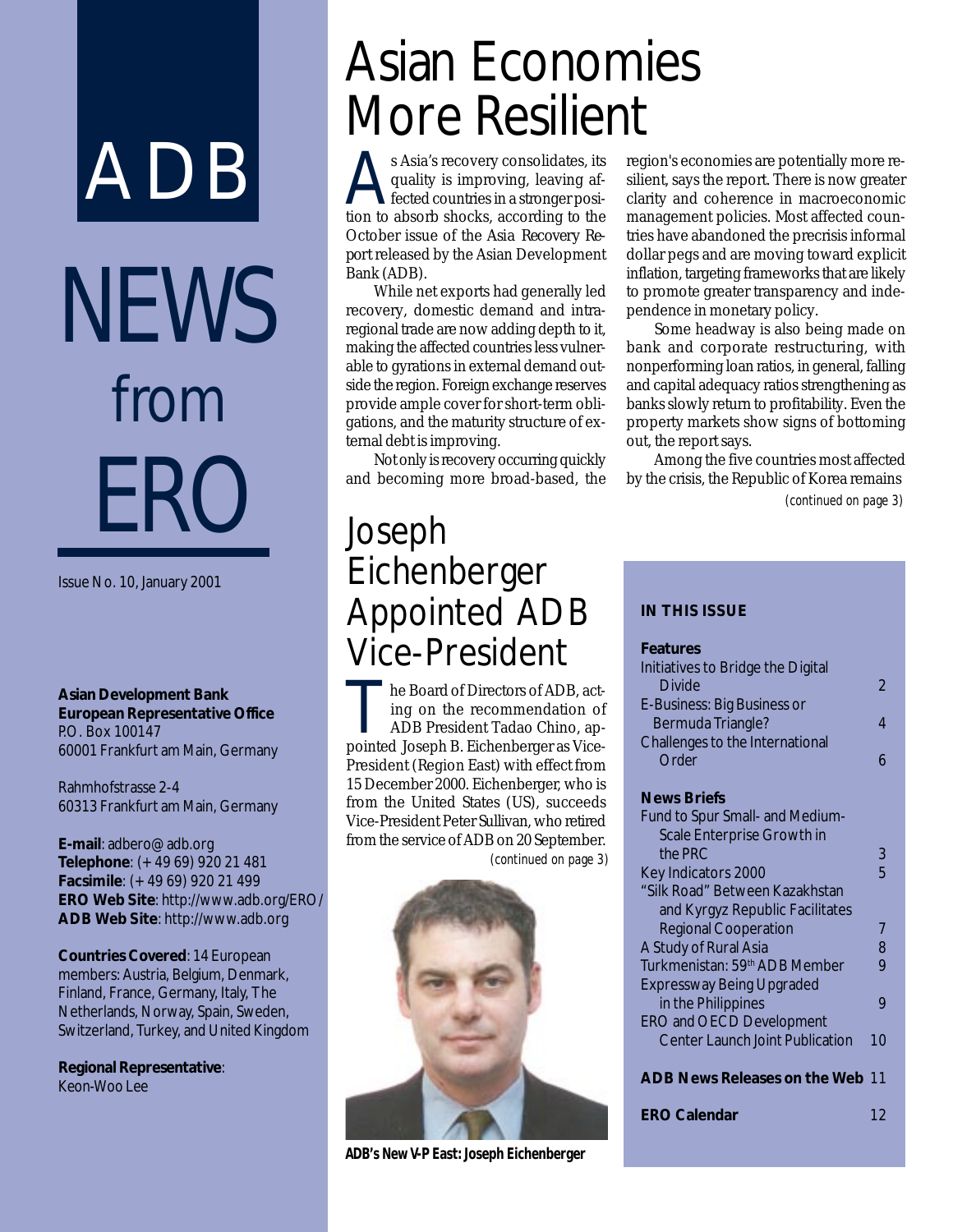# NEWS from ER ADB

Issue No. 10, January 2001

**Asian Development Bank European Representative Office** P.O. Box 100147 60001 Frankfurt am Main, Germany

Rahmhofstrasse 2-4 60313 Frankfurt am Main, Germany

**E-mail**: adbero@adb.org **Telephone**: (+49 69) 920 21 481 **Facsimile**: (+49 69) 920 21 499 **ERO Web Site**: http://www.adb.org/ERO/ **ADB Web Site**: http://www.adb.org

**Countries Covered**: 14 European members: Austria, Belgium, Denmark, Finland, France, Germany, Italy, The Netherlands, Norway, Spain, Sweden, Switzerland, Turkey, and United Kingdom

**Regional Representative**: Keon-Woo Lee

## Asian Economies More Resilient

Asia's recovery consolidates, its<br>quality is improving, leaving affected countries in a stronger posi-<br>tion to absorb shocks, according to the quality is improving, leaving affected countries in a stronger position to absorb shocks, according to the October issue of the *Asia Recovery Report* released by the Asian Development Bank (ADB).

While net exports had generally led recovery, domestic demand and intraregional trade are now adding depth to it, making the affected countries less vulnerable to gyrations in external demand outside the region. Foreign exchange reserves provide ample cover for short-term obligations, and the maturity structure of external debt is improving.

Not only is recovery occurring quickly and becoming more broad-based, the

### Joseph Eichenberger Appointed ADB Vice-President

he Board of Directors of ADB, acting on the recommendation of ADB President Tadao Chino, appointed Joseph B. Eichenberger as Vice-President (Region East) with effect from 15 December 2000. Eichenberger, who is from the United States (US), succeeds Vice-President Peter Sullivan, who retired from the service of ADB on 20 September. *(continued on page 3)*



**ADB's New V-P East: Joseph Eichenberger**

region's economies are potentially more resilient, says the report. There is now greater clarity and coherence in macroeconomic management policies. Most affected countries have abandoned the precrisis informal dollar pegs and are moving toward explicit inflation, targeting frameworks that are likely to promote greater transparency and independence in monetary policy.

Some headway is also being made on bank and corporate restructuring, with nonperforming loan ratios, in general, falling and capital adequacy ratios strengthening as banks slowly return to profitability. Even the property markets show signs of bottoming out, the report says.

Among the five countries most affected by the crisis, the Republic of Korea remains *(continued on page 3)*

#### **IN THIS ISSUE**

| <b>Features</b>                           |                |
|-------------------------------------------|----------------|
| Initiatives to Bridge the Digital         |                |
| Divide                                    | $\mathfrak{D}$ |
| E-Business: Big Business or               |                |
| Bermuda Triangle?                         | 4              |
| Challenges to the International           |                |
| Order                                     | 6              |
|                                           |                |
| <b>News Briefs</b>                        |                |
| Fund to Spur Small- and Medium-           |                |
| Scale Enterprise Growth in                |                |
| the PRC                                   | 3              |
| Key Indicators 2000                       | 5              |
| "Silk Road" Between Kazakhstan            |                |
| and Kyrgyz Republic Facilitates           |                |
| <b>Regional Cooperation</b>               | 7              |
| A Study of Rural Asia                     | 8              |
| Turkmenistan: 59 <sup>th</sup> ADB Member | 9              |
| <b>Expressway Being Upgraded</b>          |                |
| in the Philippines                        | 9              |
| <b>ERO and OECD Development</b>           |                |
| <b>Center Launch Joint Publication</b>    | 10             |
|                                           |                |
| <b>ADB News Releases on the Web 11</b>    |                |
|                                           |                |
| <b>ERO Calendar</b>                       | 12             |
|                                           |                |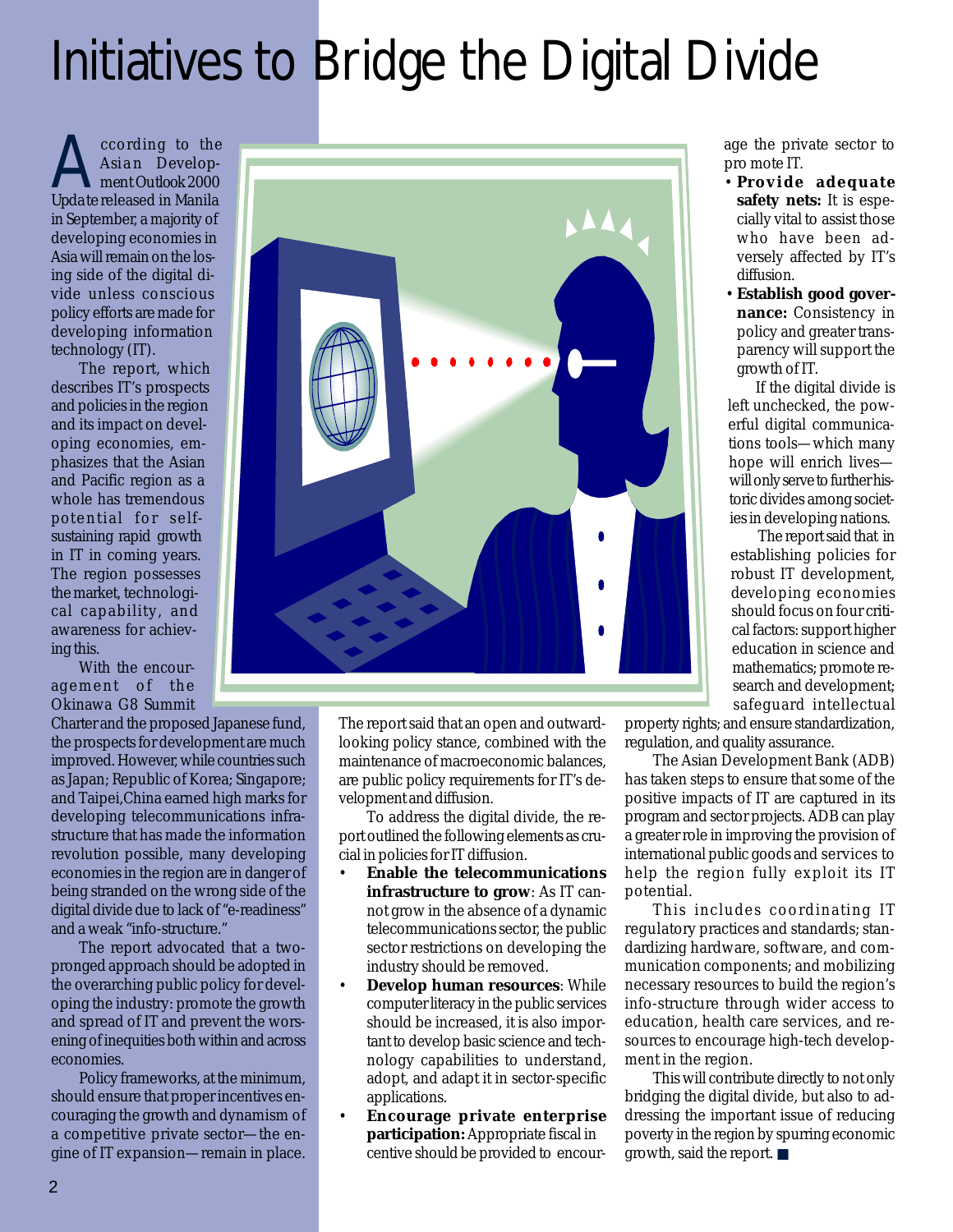## Initiatives to Bridge the Digital Divide

Cording to the<br>Asian Develop-<br>Redatershased in Manila *Asian Development Outlook 2000 Update* released in Manila in September, a majority of developing economies in Asia will remain on the losing side of the digital divide unless conscious policy efforts are made for developing information technology (IT).

The report, which describes IT's prospects and policies in the region and its impact on developing economies, emphasizes that the Asian and Pacific region as a whole has tremendous potential for selfsustaining rapid growth in IT in coming years. The region possesses the market, technological capability, and awareness for achieving this.

With the encouragement of the Okinawa G8 Summit

Charter and the proposed Japanese fund, the prospects for development are much improved. However, while countries such as Japan; Republic of Korea; Singapore; and Taipei,China earned high marks for developing telecommunications infrastructure that has made the information revolution possible, many developing economies in the region are in danger of being stranded on the wrong side of the digital divide due to lack of "e-readiness" and a weak "info-structure."

The report advocated that a twopronged approach should be adopted in the overarching public policy for developing the industry: promote the growth and spread of IT and prevent the worsening of inequities both within and across economies.

Policy frameworks, at the minimum, should ensure that proper incentives encouraging the growth and dynamism of a competitive private sector—the engine of IT expansion—remain in place.



The report said that an open and outwardlooking policy stance, combined with the maintenance of macroeconomic balances, are public policy requirements for IT's development and diffusion.

To address the digital divide, the report outlined the following elements as crucial in policies for IT diffusion.

- **Enable the telecommunications infrastructure to grow**: As IT cannot grow in the absence of a dynamic telecommunications sector, the public sector restrictions on developing the industry should be removed.
- **Develop human resources**: While computer literacy in the public services should be increased, it is also important to develop basic science and technology capabilities to understand, adopt, and adapt it in sector-specific applications.
- **Encourage private enterprise participation:** Appropriate fiscal in centive should be provided to encour-

age the private sector to pro mote IT.

- **Provide adequate safety nets:** It is especially vital to assist those who have been adversely affected by IT's diffusion.
- •**Establish good governance:** Consistency in policy and greater transparency will support the growth of IT.

If the digital divide is left unchecked, the powerful digital communications tools—which many hope will enrich lives will only serve to further historic divides among societies in developing nations.

The report said that in establishing policies for robust IT development, developing economies should focus on four critical factors: support higher education in science and mathematics; promote research and development; safeguard intellectual

property rights; and ensure standardization, regulation, and quality assurance.

The Asian Development Bank (ADB) has taken steps to ensure that some of the positive impacts of IT are captured in its program and sector projects. ADB can play a greater role in improving the provision of international public goods and services to help the region fully exploit its IT potential.

This includes coordinating IT regulatory practices and standards; standardizing hardware, software, and communication components; and mobilizing necessary resources to build the region's info-structure through wider access to education, health care services, and resources to encourage high-tech development in the region.

This will contribute directly to not only bridging the digital divide, but also to addressing the important issue of reducing poverty in the region by spurring economic growth, said the report. ■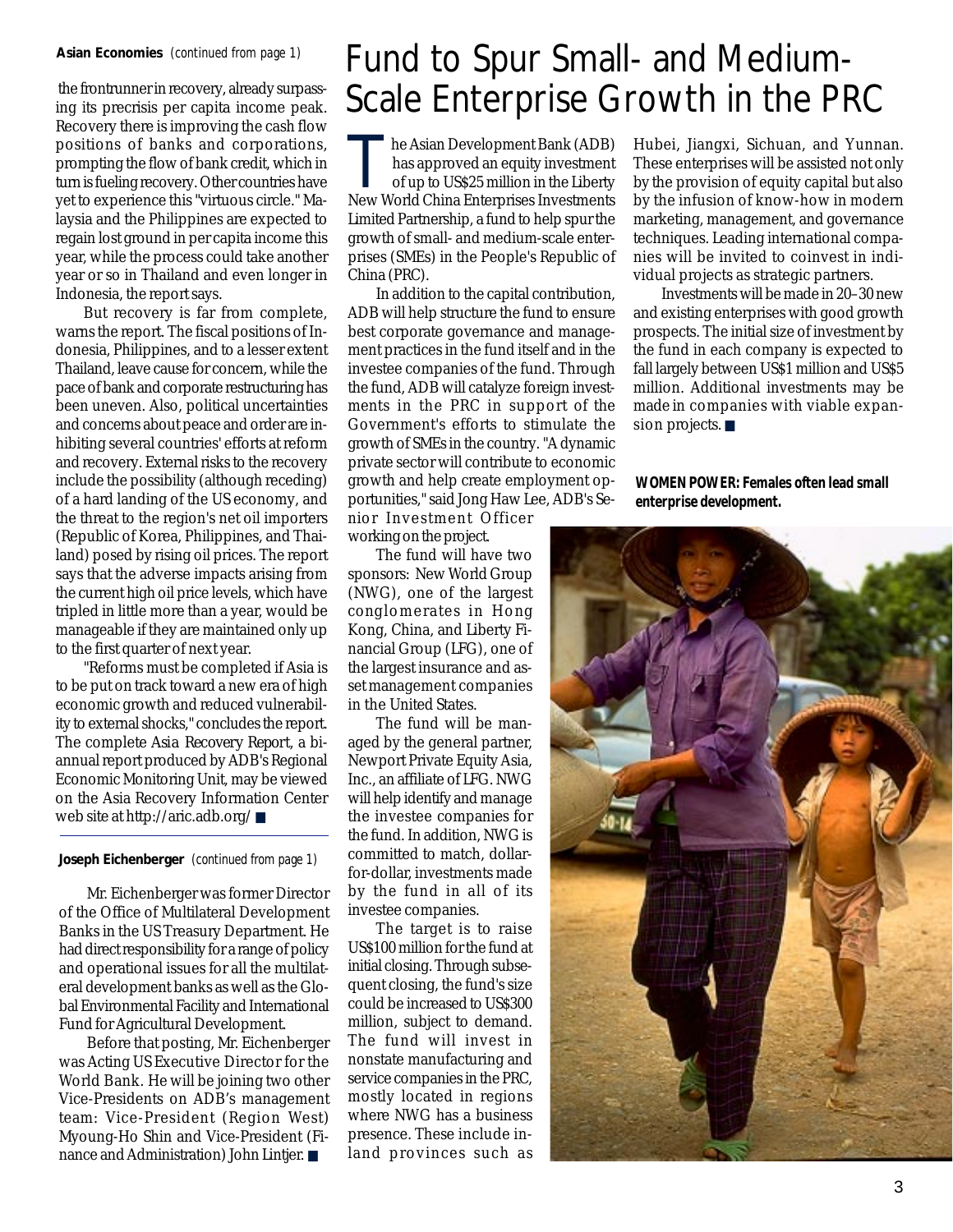#### **Asian Economies** *(continued from page 1)*

ing its precrisis per capita income peak. Recovery there is improving the cash flow positions of banks and corporations, prompting the flow of bank credit, which in turn is fueling recovery. Other countries have yet to experience this "virtuous circle." Malaysia and the Philippines are expected to regain lost ground in per capita income this year, while the process could take another year or so in Thailand and even longer in Indonesia, the report says.

But recovery is far from complete, warns the report. The fiscal positions of Indonesia, Philippines, and to a lesser extent Thailand, leave cause for concern, while the pace of bank and corporate restructuring has been uneven. Also, political uncertainties and concerns about peace and order are inhibiting several countries' efforts at reform and recovery. External risks to the recovery include the possibility (although receding) of a hard landing of the US economy, and the threat to the region's net oil importers (Republic of Korea, Philippines, and Thailand) posed by rising oil prices. The report says that the adverse impacts arising from the current high oil price levels, which have tripled in little more than a year, would be manageable if they are maintained only up to the first quarter of next year.

"Reforms must be completed if Asia is to be put on track toward a new era of high economic growth and reduced vulnerability to external shocks," concludes the report. The complete *Asia Recovery Report*, a biannual report produced by ADB's Regional Economic Monitoring Unit, may be viewed on the Asia Recovery Information Center web site at http://aric.adb.org/ ■

#### **Joseph Eichenberger** *(continued from page 1)*

Mr. Eichenberger was former Director of the Office of Multilateral Development Banks in the US Treasury Department. He had direct responsibility for a range of policy and operational issues for all the multilateral development banks as well as the Global Environmental Facility and International Fund for Agricultural Development.

Before that posting, Mr. Eichenberger was Acting US Executive Director for the World Bank. He will be joining two other Vice-Presidents on ADB's management team: Vice-President (Region West) Myoung-Ho Shin and Vice-President (Finance and Administration) John Lintjer. ■

### Fund to Spur Small- and Mediumthe frontrunner in recovery, already surpass-<br>ing its precrisis per capita income peak.  $Scale$  Enterprise Growth in the PRC

he Asian Development Bank (ADB) has approved an equity investment of up to US\$25 million in the Liberty New World China Enterprises Investments Limited Partnership, a fund to help spur the growth of small- and medium-scale enterprises (SMEs) in the People's Republic of China (PRC).

In addition to the capital contribution, ADB will help structure the fund to ensure best corporate governance and management practices in the fund itself and in the investee companies of the fund. Through the fund, ADB will catalyze foreign investments in the PRC in support of the Government's efforts to stimulate the growth of SMEs in the country. "A dynamic private sector will contribute to economic growth and help create employment opportunities," said Jong Haw Lee, ADB's Senior Investment Officer

working on the project.

The fund will have two sponsors: New World Group (NWG), one of the largest conglomerates in Hong Kong, China, and Liberty Financial Group (LFG), one of the largest insurance and asset management companies in the United States.

The fund will be managed by the general partner, Newport Private Equity Asia, Inc., an affiliate of LFG. NWG will help identify and manage the investee companies for the fund. In addition, NWG is committed to match, dollarfor-dollar, investments made by the fund in all of its investee companies.

The target is to raise US\$100 million for the fund at initial closing. Through subsequent closing, the fund's size could be increased to US\$300 million, subject to demand. The fund will invest in nonstate manufacturing and service companies in the PRC, mostly located in regions where NWG has a business presence. These include inland provinces such as

Hubei, Jiangxi, Sichuan, and Yunnan. These enterprises will be assisted not only by the provision of equity capital but also by the infusion of know-how in modern marketing, management, and governance techniques. Leading international companies will be invited to coinvest in individual projects as strategic partners.

Investments will be made in 20–30 new and existing enterprises with good growth prospects. The initial size of investment by the fund in each company is expected to fall largely between US\$1 million and US\$5 million. Additional investments may be made in companies with viable expansion projects. ■

#### **WOMEN POWER: Females often lead small enterprise development.**

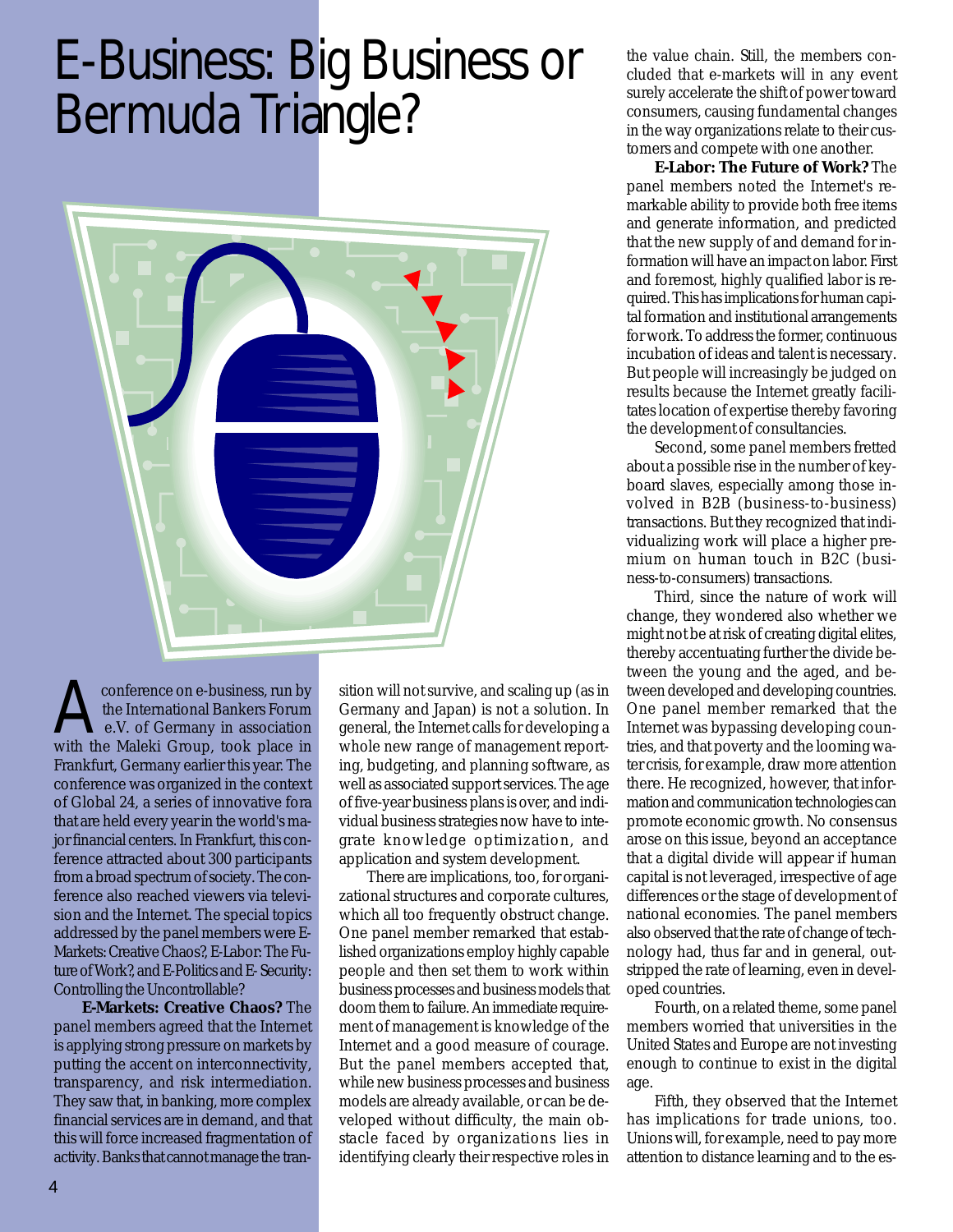## E-Business: Big Business or Bermuda Triangle?



A conference on e-business, run by<br>the International Bankers Forum<br>with the Maleki Crown, took place in the International Bankers Forum e.V. of Germany in association with the Maleki Group, took place in Frankfurt, Germany earlier this year. The conference was organized in the context of Global 24, a series of innovative fora that are held every year in the world's major financial centers. In Frankfurt, this conference attracted about 300 participants from a broad spectrum of society. The conference also reached viewers via television and the Internet. The special topics addressed by the panel members were E-Markets: Creative Chaos?, E-Labor: The Future of Work?, and E-Politics and E- Security: Controlling the Uncontrollable?

**E-Markets: Creative Chaos?** The panel members agreed that the Internet is applying strong pressure on markets by putting the accent on interconnectivity, transparency, and risk intermediation. They saw that, in banking, more complex financial services are in demand, and that this will force increased fragmentation of activity. Banks that cannot manage the transition will not survive, and scaling up (as in Germany and Japan) is not a solution. In general, the Internet calls for developing a whole new range of management reporting, budgeting, and planning software, as well as associated support services. The age of five-year business plans is over, and individual business strategies now have to integrate knowledge optimization, and application and system development.

There are implications, too, for organizational structures and corporate cultures, which all too frequently obstruct change. One panel member remarked that established organizations employ highly capable people and then set them to work within business processes and business models that doom them to failure. An immediate requirement of management is knowledge of the Internet and a good measure of courage. But the panel members accepted that, while new business processes and business models are already available, or can be developed without difficulty, the main obstacle faced by organizations lies in identifying clearly their respective roles in

the value chain. Still, the members concluded that e-markets will in any event surely accelerate the shift of power toward consumers, causing fundamental changes in the way organizations relate to their customers and compete with one another.

**E-Labor: The Future of Work?** The panel members noted the Internet's remarkable ability to provide both free items and generate information, and predicted that the new supply of and demand for information will have an impact on labor. First and foremost, highly qualified labor is required. This has implications for human capital formation and institutional arrangements for work. To address the former, continuous incubation of ideas and talent is necessary. But people will increasingly be judged on results because the Internet greatly facilitates location of expertise thereby favoring the development of consultancies.

Second, some panel members fretted about a possible rise in the number of keyboard slaves, especially among those involved in B2B (business-to-business) transactions. But they recognized that individualizing work will place a higher premium on human touch in B2C (business-to-consumers) transactions.

Third, since the nature of work will change, they wondered also whether we might not be at risk of creating digital elites, thereby accentuating further the divide between the young and the aged, and between developed and developing countries. One panel member remarked that the Internet was bypassing developing countries, and that poverty and the looming water crisis, for example, draw more attention there. He recognized, however, that information and communication technologies can promote economic growth. No consensus arose on this issue, beyond an acceptance that a digital divide will appear if human capital is not leveraged, irrespective of age differences or the stage of development of national economies. The panel members also observed that the rate of change of technology had, thus far and in general, outstripped the rate of learning, even in developed countries.

Fourth, on a related theme, some panel members worried that universities in the United States and Europe are not investing enough to continue to exist in the digital age.

Fifth, they observed that the Internet has implications for trade unions, too. Unions will, for example, need to pay more attention to distance learning and to the es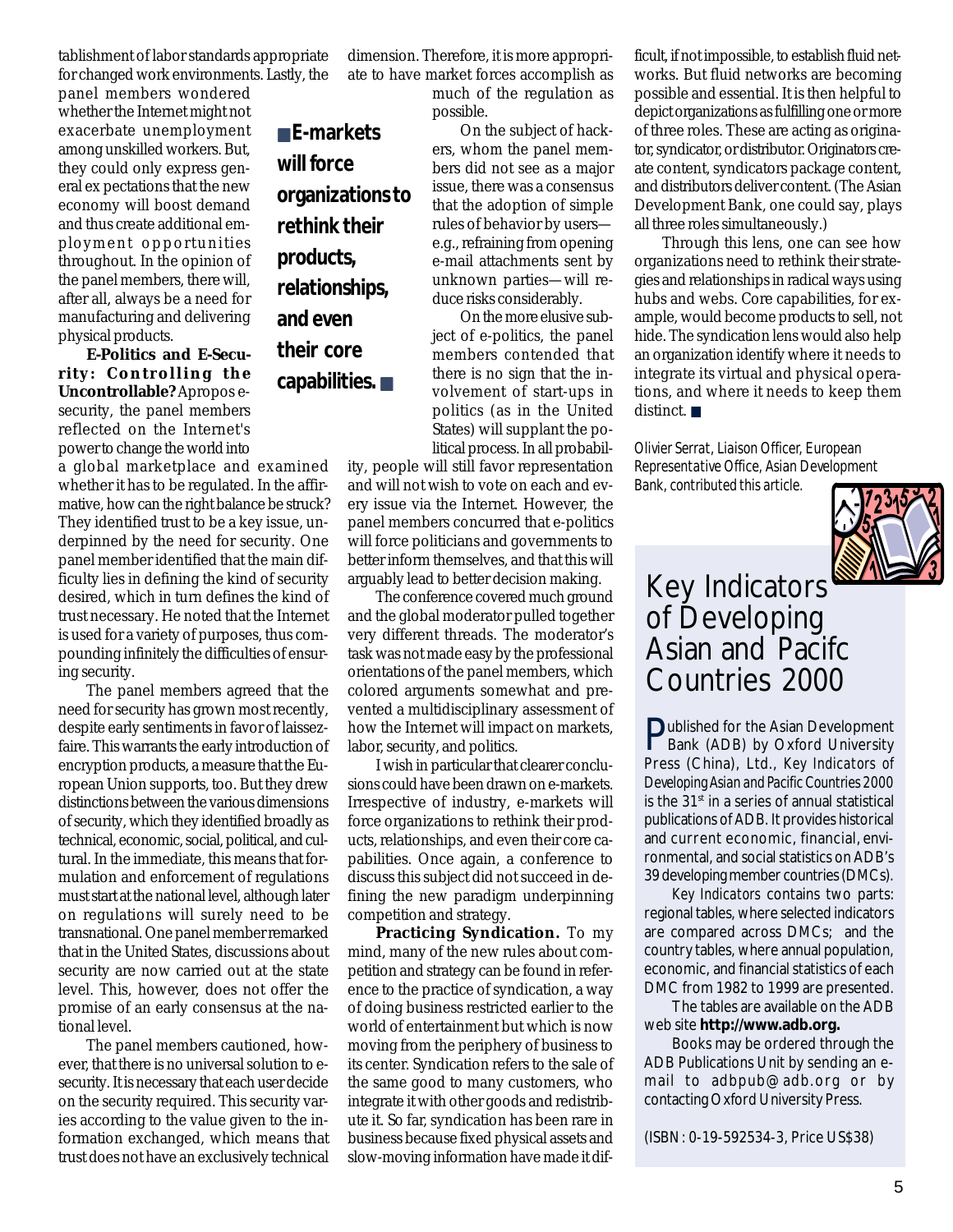tablishment of labor standards appropriate for changed work environments. Lastly, the

■ **E-markets**

**organizations to**

**rethink their**

**relationships,**

**capabilities.** ■

**will force**

**products,**

**and even**

**their core**

panel members wondered whether the Internet might not exacerbate unemployment among unskilled workers. But, they could only express general ex pectations that the new economy will boost demand and thus create additional employment opportunities throughout. In the opinion of the panel members, there will, after all, always be a need for manufacturing and delivering physical products.

**E-Politics and E-Security: Controlling the Uncontrollable?** Apropos esecurity, the panel members reflected on the Internet's power to change the world into

a global marketplace and examined whether it has to be regulated. In the affirmative, how can the right balance be struck? They identified trust to be a key issue, underpinned by the need for security. One panel member identified that the main difficulty lies in defining the kind of security desired, which in turn defines the kind of trust necessary. He noted that the Internet is used for a variety of purposes, thus compounding infinitely the difficulties of ensuring security.

The panel members agreed that the need for security has grown most recently, despite early sentiments in favor of laissezfaire. This warrants the early introduction of encryption products, a measure that the European Union supports, too. But they drew distinctions between the various dimensions of security, which they identified broadly as technical, economic, social, political, and cultural. In the immediate, this means that formulation and enforcement of regulations must start at the national level, although later on regulations will surely need to be transnational. One panel member remarked that in the United States, discussions about security are now carried out at the state level. This, however, does not offer the promise of an early consensus at the national level.

The panel members cautioned, however, that there is no universal solution to esecurity. It is necessary that each user decide on the security required. This security varies according to the value given to the information exchanged, which means that trust does not have an exclusively technical dimension. Therefore, it is more appropriate to have market forces accomplish as

much of the regulation as possible.

On the subject of hackers, whom the panel members did not see as a major issue, there was a consensus that the adoption of simple rules of behavior by users e.g., refraining from opening e-mail attachments sent by unknown parties—will reduce risks considerably.

On the more elusive subject of e-politics, the panel members contended that there is no sign that the involvement of start-ups in politics (as in the United States) will supplant the political process. In all probabil-

ity, people will still favor representation and will not wish to vote on each and every issue via the Internet. However, the panel members concurred that e-politics will force politicians and governments to better inform themselves, and that this will arguably lead to better decision making.

The conference covered much ground and the global moderator pulled together very different threads. The moderator's task was not made easy by the professional orientations of the panel members, which colored arguments somewhat and prevented a multidisciplinary assessment of how the Internet will impact on markets, labor, security, and politics.

I wish in particular that clearer conclusions could have been drawn on e-markets. Irrespective of industry, e-markets will force organizations to rethink their products, relationships, and even their core capabilities. Once again, a conference to discuss this subject did not succeed in defining the new paradigm underpinning competition and strategy.

**Practicing Syndication.** To my mind, many of the new rules about competition and strategy can be found in reference to the practice of syndication, a way of doing business restricted earlier to the world of entertainment but which is now moving from the periphery of business to its center. Syndication refers to the sale of the same good to many customers, who integrate it with other goods and redistribute it. So far, syndication has been rare in business because fixed physical assets and slow-moving information have made it dif-

ficult, if not impossible, to establish fluid networks. But fluid networks are becoming possible and essential. It is then helpful to depict organizations as fulfilling one or more of three roles. These are acting as originator, syndicator, or distributor. Originators create content, syndicators package content, and distributors deliver content. (The Asian Development Bank, one could say, plays all three roles simultaneously.)

Through this lens, one can see how organizations need to rethink their strategies and relationships in radical ways using hubs and webs. Core capabilities, for example, would become products to sell, not hide. The syndication lens would also help an organization identify where it needs to integrate its virtual and physical operations, and where it needs to keep them distinct. ■

*Olivier Serrat, Liaison Officer, European Representative Office, Asian Development Bank, contributed this article.*



### Key Indicators of Developing Asian and Pacifc Countries 2000

Published for the Asian Development<br>Bank (ADB) by Oxford University Bank (ADB) by Oxford University Press (China), Ltd., *Key Indicators of Developing Asian and Pacific Countries 2000* is the 31<sup>st</sup> in a series of annual statistical publications of ADB. It provides historical and current economic, financial, environmental, and social statistics on ADB's 39 developing member countries (DMCs).

*Key Indicators* contains two parts: regional tables, where selected indicators are compared across DMCs; and the country tables, where annual population, economic, and financial statistics of each DMC from 1982 to 1999 are presented.

The tables are available on the ADB web site **http://www.adb.org.**

Books may be ordered through the ADB Publications Unit by sending an email to adbpub@adb.org or by contacting Oxford University Press.

(ISBN: 0-19-592534-3, Price US\$38)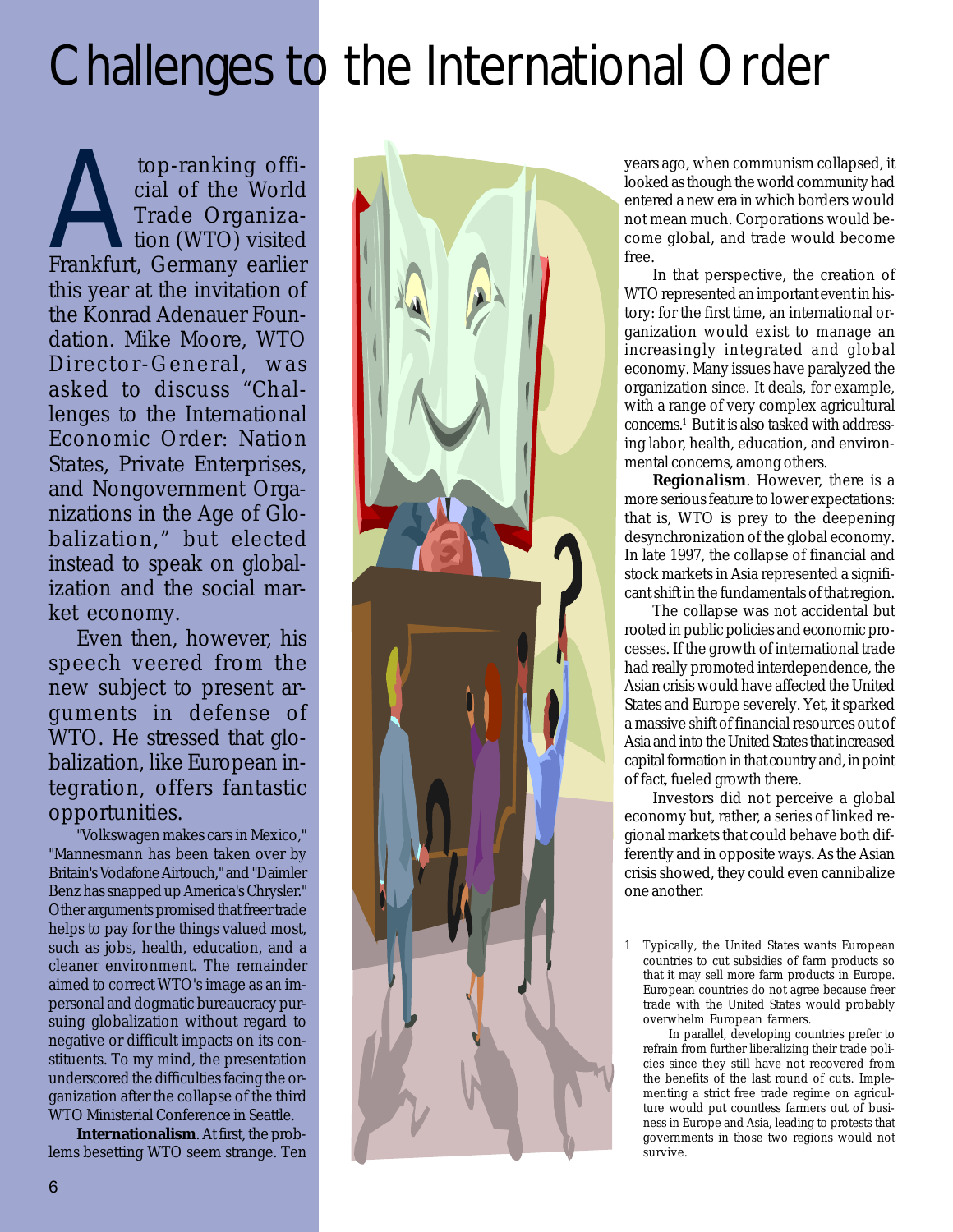## Challenges to the International Order

top-ranking offi-<br>cial of the World<br>Trade Organiza-<br>tion (WTO) visited<br>Frankfurt, Germany earlier cial of the World Trade Organization (WTO) visited Frankfurt, Germany earlier this year at the invitation of the Konrad Adenauer Foundation. Mike Moore, WTO Director-General, was asked to discuss "Challenges to the International Economic Order: Nation States, Private Enterprises, and Nongovernment Organizations in the Age of Globalization," but elected instead to speak on globalization and the social market economy.

Even then, however, his speech veered from the new subject to present arguments in defense of WTO. He stressed that globalization, like European integration, offers fantastic opportunities.

"Volkswagen makes cars in Mexico," "Mannesmann has been taken over by Britain's Vodafone Airtouch," and "Daimler Benz has snapped up America's Chrysler." Other arguments promised that freer trade helps to pay for the things valued most, such as jobs, health, education, and a cleaner environment. The remainder aimed to correct WTO's image as an impersonal and dogmatic bureaucracy pursuing globalization without regard to negative or difficult impacts on its constituents. To my mind, the presentation underscored the difficulties facing the organization after the collapse of the third WTO Ministerial Conference in Seattle.

**Internationalism**. At first, the problems besetting WTO seem strange. Ten



years ago, when communism collapsed, it looked as though the world community had entered a new era in which borders would not mean much. Corporations would become global, and trade would become free.

In that perspective, the creation of WTO represented an important event in history: for the first time, an international organization would exist to manage an increasingly integrated and global economy. Many issues have paralyzed the organization since. It deals, for example, with a range of very complex agricultural concerns.1 But it is also tasked with addressing labor, health, education, and environmental concerns, among others.

**Regionalism**. However, there is a more serious feature to lower expectations: that is, WTO is prey to the deepening desynchronization of the global economy. In late 1997, the collapse of financial and stock markets in Asia represented a significant shift in the fundamentals of that region.

The collapse was not accidental but rooted in public policies and economic processes. If the growth of international trade had really promoted interdependence, the Asian crisis would have affected the United States and Europe severely. Yet, it sparked a massive shift of financial resources out of Asia and into the United States that increased capital formation in that country and, in point of fact, fueled growth there.

Investors did not perceive a global economy but, rather, a series of linked regional markets that could behave both differently and in opposite ways. As the Asian crisis showed, they could even cannibalize one another.

1 Typically, the United States wants European countries to cut subsidies of farm products so that it may sell more farm products in Europe. European countries do not agree because freer trade with the United States would probably overwhelm European farmers.

 In parallel, developing countries prefer to refrain from further liberalizing their trade policies since they still have not recovered from the benefits of the last round of cuts. Implementing a strict free trade regime on agriculture would put countless farmers out of business in Europe and Asia, leading to protests that governments in those two regions would not survive.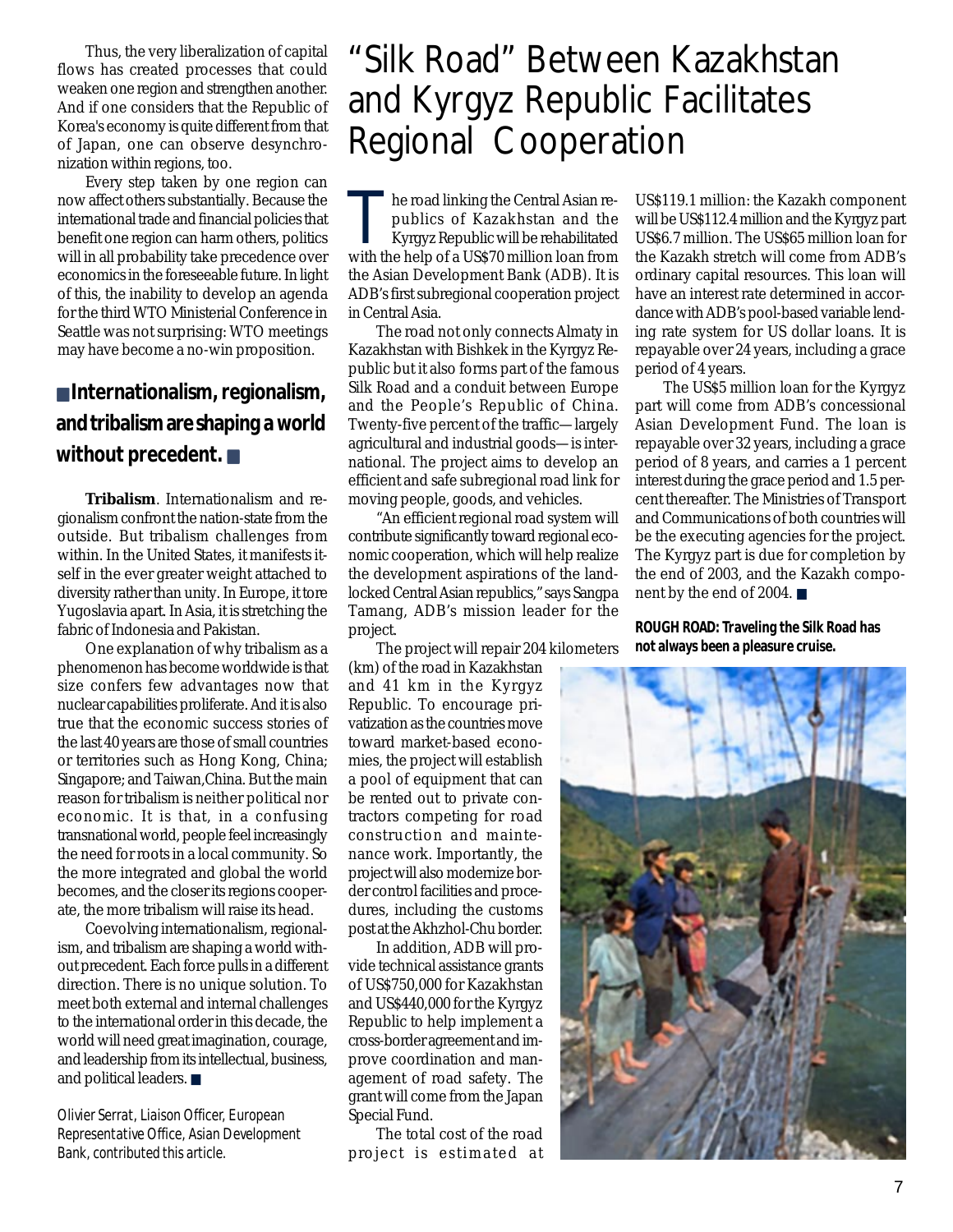Thus, the very liberalization of capital flows has created processes that could weaken one region and strengthen another. And if one considers that the Republic of Korea's economy is quite different from that of Japan, one can observe desynchronization within regions, too.

Every step taken by one region can now affect others substantially. Because the international trade and financial policies that benefit one region can harm others, politics will in all probability take precedence over economics in the foreseeable future. In light of this, the inability to develop an agenda for the third WTO Ministerial Conference in Seattle was not surprising: WTO meetings may have become a no-win proposition.

#### ■ **Internationalism, regionalism, and tribalism are shaping a world without precedent.** ■

**Tribalism**. Internationalism and regionalism confront the nation-state from the outside. But tribalism challenges from within. In the United States, it manifests itself in the ever greater weight attached to diversity rather than unity. In Europe, it tore Yugoslavia apart. In Asia, it is stretching the fabric of Indonesia and Pakistan.

One explanation of why tribalism as a phenomenon has become worldwide is that size confers few advantages now that nuclear capabilities proliferate. And it is also true that the economic success stories of the last 40 years are those of small countries or territories such as Hong Kong, China; Singapore; and Taiwan,China. But the main reason for tribalism is neither political nor economic. It is that, in a confusing transnational world, people feel increasingly the need for roots in a local community. So the more integrated and global the world becomes, and the closer its regions cooperate, the more tribalism will raise its head.

Coevolving internationalism, regionalism, and tribalism are shaping a world without precedent. Each force pulls in a different direction. There is no unique solution. To meet both external and internal challenges to the international order in this decade, the world will need great imagination, courage, and leadership from its intellectual, business, and political leaders. ■

*Olivier Serrat, Liaison Officer, European Representative Office, Asian Development Bank, contributed this article.*

### "Silk Road" Between Kazakhstan and Kyrgyz Republic Facilitates Regional Cooperation

The road linking the Central Asian republics of Kazakhstan and the<br>Kyrgyz Republic will be rehabilitated<br>With the belp of a US\$70 million leap from publics of Kazakhstan and the with the help of a US\$70 million loan from the Asian Development Bank (ADB). It is ADB's first subregional cooperation project in Central Asia.

The road not only connects Almaty in Kazakhstan with Bishkek in the Kyrgyz Republic but it also forms part of the famous Silk Road and a conduit between Europe and the People's Republic of China. Twenty-five percent of the traffic—largely agricultural and industrial goods—is international. The project aims to develop an efficient and safe subregional road link for moving people, goods, and vehicles.

"An efficient regional road system will contribute significantly toward regional economic cooperation, which will help realize the development aspirations of the landlocked Central Asian republics," says Sangpa Tamang, ADB's mission leader for the project.

The project will repair 204 kilometers

(km) of the road in Kazakhstan and 41 km in the Kyrgyz Republic. To encourage privatization as the countries move toward market-based economies, the project will establish a pool of equipment that can be rented out to private contractors competing for road construction and maintenance work. Importantly, the project will also modernize border control facilities and procedures, including the customs post at the Akhzhol-Chu border.

In addition, ADB will provide technical assistance grants of US\$750,000 for Kazakhstan and US\$440,000 for the Kyrgyz Republic to help implement a cross-border agreement and improve coordination and management of road safety. The grant will come from the Japan Special Fund.

The total cost of the road project is estimated at

US\$119.1 million: the Kazakh component will be US\$112.4 million and the Kyrgyz part US\$6.7 million. The US\$65 million loan for the Kazakh stretch will come from ADB's ordinary capital resources. This loan will have an interest rate determined in accordance with ADB's pool-based variable lending rate system for US dollar loans. It is repayable over 24 years, including a grace period of 4 years.

The US\$5 million loan for the Kyrgyz part will come from ADB's concessional Asian Development Fund. The loan is repayable over 32 years, including a grace period of 8 years, and carries a 1 percent interest during the grace period and 1.5 percent thereafter. The Ministries of Transport and Communications of both countries will be the executing agencies for the project. The Kyrgyz part is due for completion by the end of 2003, and the Kazakh component by the end of 2004. ■

**ROUGH ROAD: Traveling the Silk Road has not always been a pleasure cruise.**

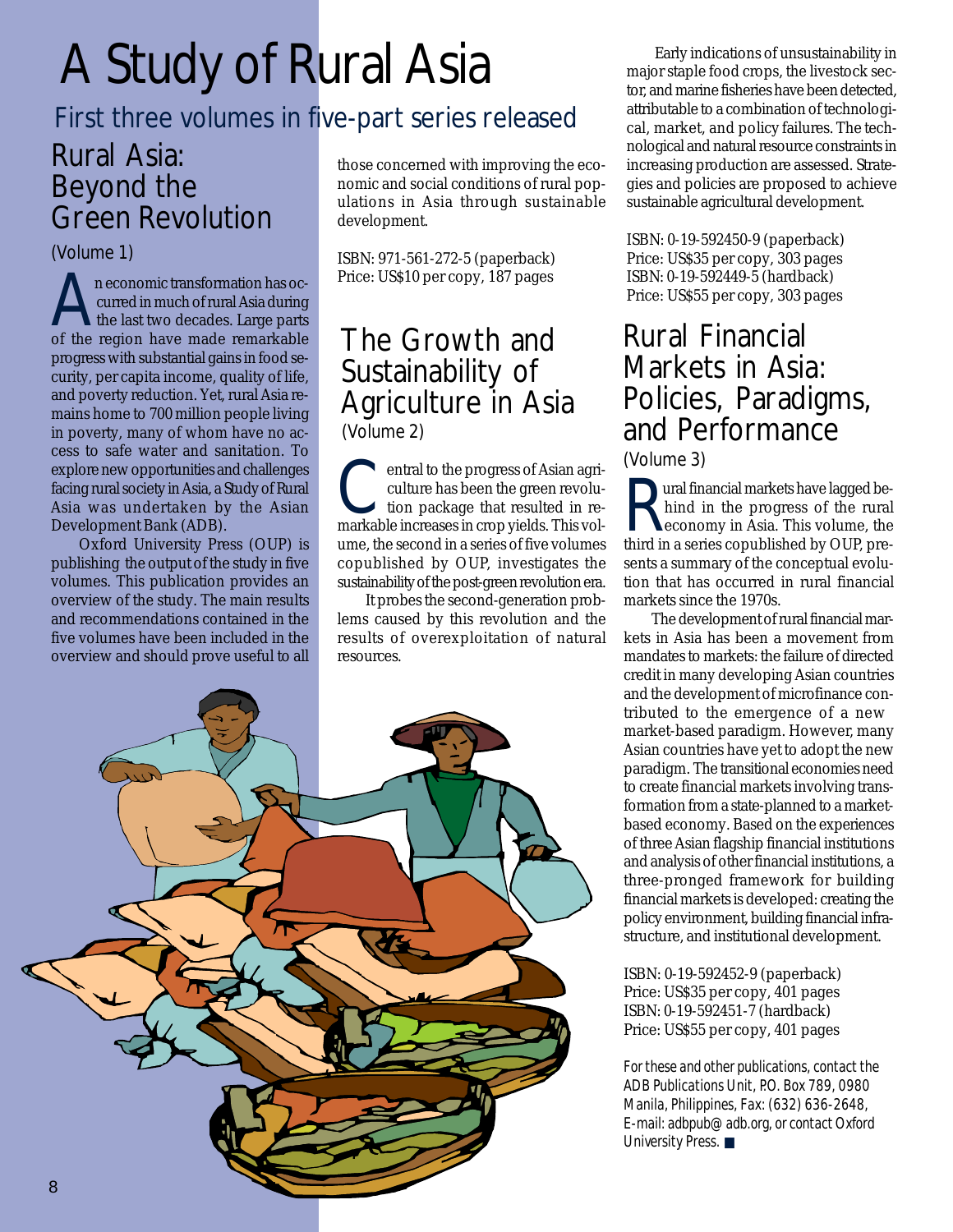## A Study of Rural Asia

### First three volumes in five-part series released

### Rural Asia: Beyond the Green Revolution

(Volume 1)

n economic transformation has occurred in much of rural Asia during the last two decades. Large parts of the region have made remarkable progress with substantial gains in food security, per capita income, quality of life, and poverty reduction. Yet, rural Asia remains home to 700 million people living in poverty, many of whom have no access to safe water and sanitation. To explore new opportunities and challenges facing rural society in Asia, a Study of Rural Asia was undertaken by the Asian Development Bank (ADB).

Oxford University Press (OUP) is publishing the output of the study in five volumes. This publication provides an overview of the study. The main results and recommendations contained in the five volumes have been included in the overview and should prove useful to all

those concerned with improving the economic and social conditions of rural populations in Asia through sustainable development.

ISBN: 971-561-272-5 (paperback) Price: US\$10 per copy, 187 pages

#### The Growth and Sustainability of Agriculture in Asia (Volume 2)

**C**entral to the progress of Asian agriculture has been the green revolu-<br>tion package that resulted in reculture has been the green revolumarkable increases in crop yields. This volume, the second in a series of five volumes copublished by OUP, investigates the sustainability of the post-green revolution era.

It probes the second-generation problems caused by this revolution and the results of overexploitation of natural resources.



Early indications of unsustainability in major staple food crops, the livestock sector, and marine fisheries have been detected, attributable to a combination of technological, market, and policy failures. The technological and natural resource constraints in increasing production are assessed. Strategies and policies are proposed to achieve sustainable agricultural development.

ISBN: 0-19-592450-9 (paperback) Price: US\$35 per copy, 303 pages ISBN: 0-19-592449-5 (hardback) Price: US\$55 per copy, 303 pages

#### Rural Financial Markets in Asia: Policies, Paradigms, and Performance (Volume 3)

**Example 18 Altancial markets have lagged be-**<br>hind in the progress of the rural<br>third in a series complished by OUP pro hind in the progress of the rural third in a series copublished by OUP, presents a summary of the conceptual evolution that has occurred in rural financial markets since the 1970s.

The development of rural financial markets in Asia has been a movement from mandates to markets: the failure of directed credit in many developing Asian countries and the development of microfinance contributed to the emergence of a new market-based paradigm. However, many Asian countries have yet to adopt the new paradigm. The transitional economies need to create financial markets involving transformation from a state-planned to a marketbased economy. Based on the experiences of three Asian flagship financial institutions and analysis of other financial institutions, a three-pronged framework for building financial markets is developed: creating the policy environment, building financial infrastructure, and institutional development.

ISBN: 0-19-592452-9 (paperback) Price: US\$35 per copy, 401 pages ISBN: 0-19-592451-7 (hardback) Price: US\$55 per copy, 401 pages

*For these and other publications, contact the ADB Publications Unit, P.O. Box 789, 0980 Manila, Philippines, Fax: (632) 636-2648, E-mail: adbpub@adb.org, or contact Oxford University Press.* ■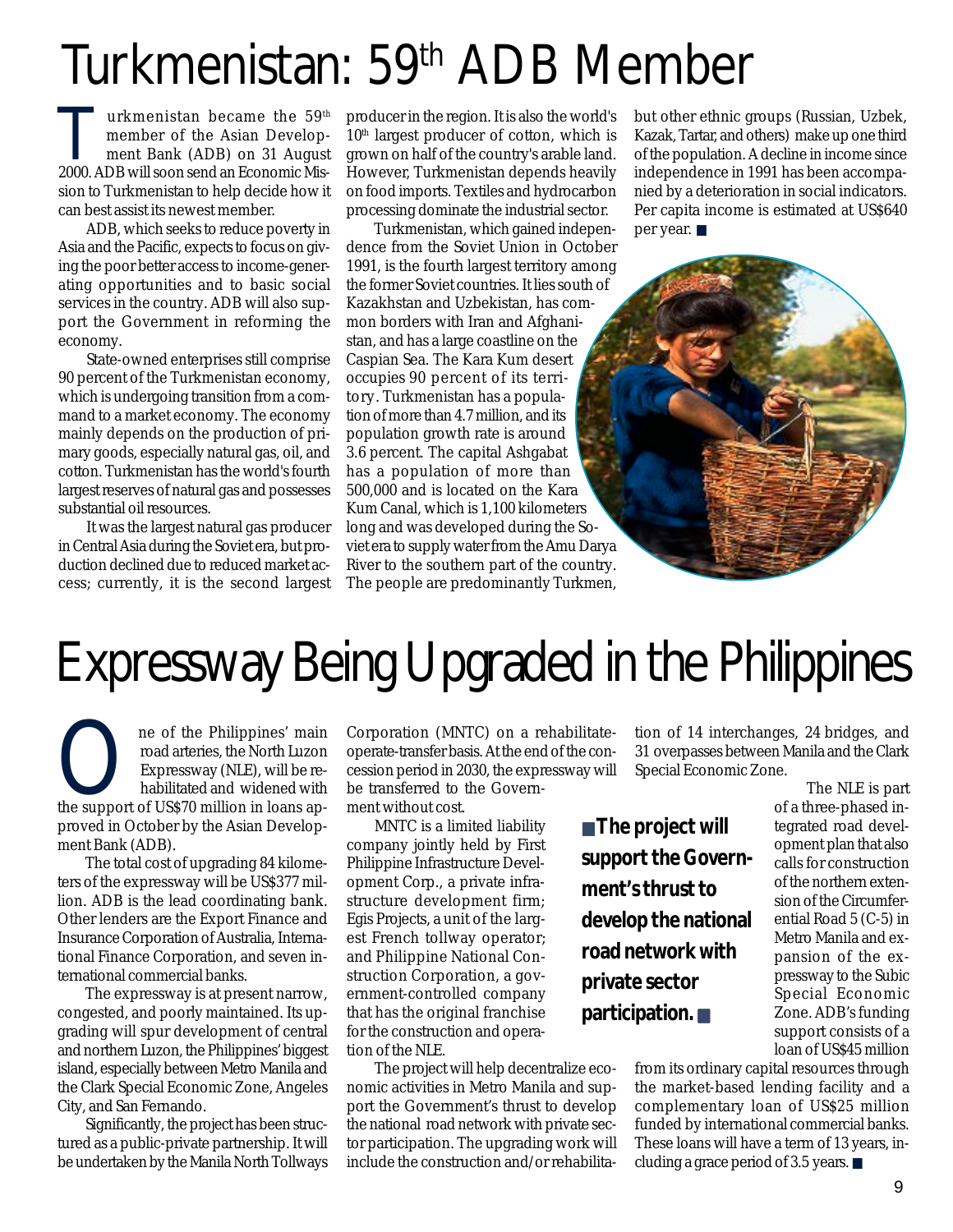## Turkmenistan: 59th ADB Member

Turkmenistan became the 59<sup>th</sup><br>
member of the Asian Develop-<br>
ment Bank (ADB) on 31 August<br>
2000 ADB will soon sond an Economic Mis member of the Asian Develop-2000. ADB will soon send an Economic Mission to Turkmenistan to help decide how it can best assist its newest member.

ADB, which seeks to reduce poverty in Asia and the Pacific, expects to focus on giving the poor better access to income-generating opportunities and to basic social services in the country. ADB will also support the Government in reforming the economy.

State-owned enterprises still comprise 90 percent of the Turkmenistan economy, which is undergoing transition from a command to a market economy. The economy mainly depends on the production of primary goods, especially natural gas, oil, and cotton. Turkmenistan has the world's fourth largest reserves of natural gas and possesses substantial oil resources.

It was the largest natural gas producer in Central Asia during the Soviet era, but production declined due to reduced market access; currently, it is the second largest producer in the region. It is also the world's  $10<sup>th</sup>$  largest producer of cotton, which is grown on half of the country's arable land. However, Turkmenistan depends heavily on food imports. Textiles and hydrocarbon processing dominate the industrial sector.

Turkmenistan, which gained independence from the Soviet Union in October 1991, is the fourth largest territory among the former Soviet countries. It lies south of Kazakhstan and Uzbekistan, has common borders with Iran and Afghanistan, and has a large coastline on the Caspian Sea. The Kara Kum desert occupies 90 percent of its territory. Turkmenistan has a population of more than 4.7 million, and its population growth rate is around 3.6 percent. The capital Ashgabat has a population of more than 500,000 and is located on the Kara Kum Canal, which is 1,100 kilometers long and was developed during the Soviet era to supply water from the Amu Darya River to the southern part of the country. The people are predominantly Turkmen,

but other ethnic groups (Russian, Uzbek, Kazak, Tartar, and others) make up one third of the population. A decline in income since independence in 1991 has been accompanied by a deterioration in social indicators. Per capita income is estimated at US\$640 per year. ■



## Expressway Being Upgraded in the Philippines

ne of the Philippines' main<br>
road arteries, the North Luzon<br>
Expressway (NLE), will be re-<br>
habilitated and widened with<br>
the support of US\$70 million in loans aproad arteries, the North Luzon Expressway (NLE), will be rehabilitated and widened with proved in October by the Asian Development Bank (ADB).

The total cost of upgrading 84 kilometers of the expressway will be US\$377 million. ADB is the lead coordinating bank. Other lenders are the Export Finance and Insurance Corporation of Australia, International Finance Corporation, and seven international commercial banks.

The expressway is at present narrow, congested, and poorly maintained. Its upgrading will spur development of central and northern Luzon, the Philippines' biggest island, especially between Metro Manila and the Clark Special Economic Zone, Angeles City, and San Fernando.

Significantly, the project has been structured as a public-private partnership. It will be undertaken by the Manila North Tollways Corporation (MNTC) on a rehabilitateoperate-transfer basis. At the end of the concession period in 2030, the expressway will be transferred to the Government without cost.

MNTC is a limited liability company jointly held by First Philippine Infrastructure Development Corp., a private infrastructure development firm; Egis Projects, a unit of the largest French tollway operator; and Philippine National Construction Corporation, a government-controlled company that has the original franchise for the construction and operation of the NLE.

The project will help decentralize economic activities in Metro Manila and support the Government's thrust to develop the national road network with private sector participation. The upgrading work will include the construction and/or rehabilita-

tion of 14 interchanges, 24 bridges, and 31 overpasses between Manila and the Clark Special Economic Zone.

■ **The project will support the Government's thrust to develop the national road network with private sector participation.** ■

 The NLE is part of a three-phased integrated road development plan that also calls for construction of the northern extension of the Circumferential Road 5 (C-5) in Metro Manila and expansion of the expressway to the Subic Special Economic Zone. ADB's funding support consists of a loan of US\$45 million

from its ordinary capital resources through the market-based lending facility and a complementary loan of US\$25 million funded by international commercial banks. These loans will have a term of 13 years, including a grace period of 3.5 years. ■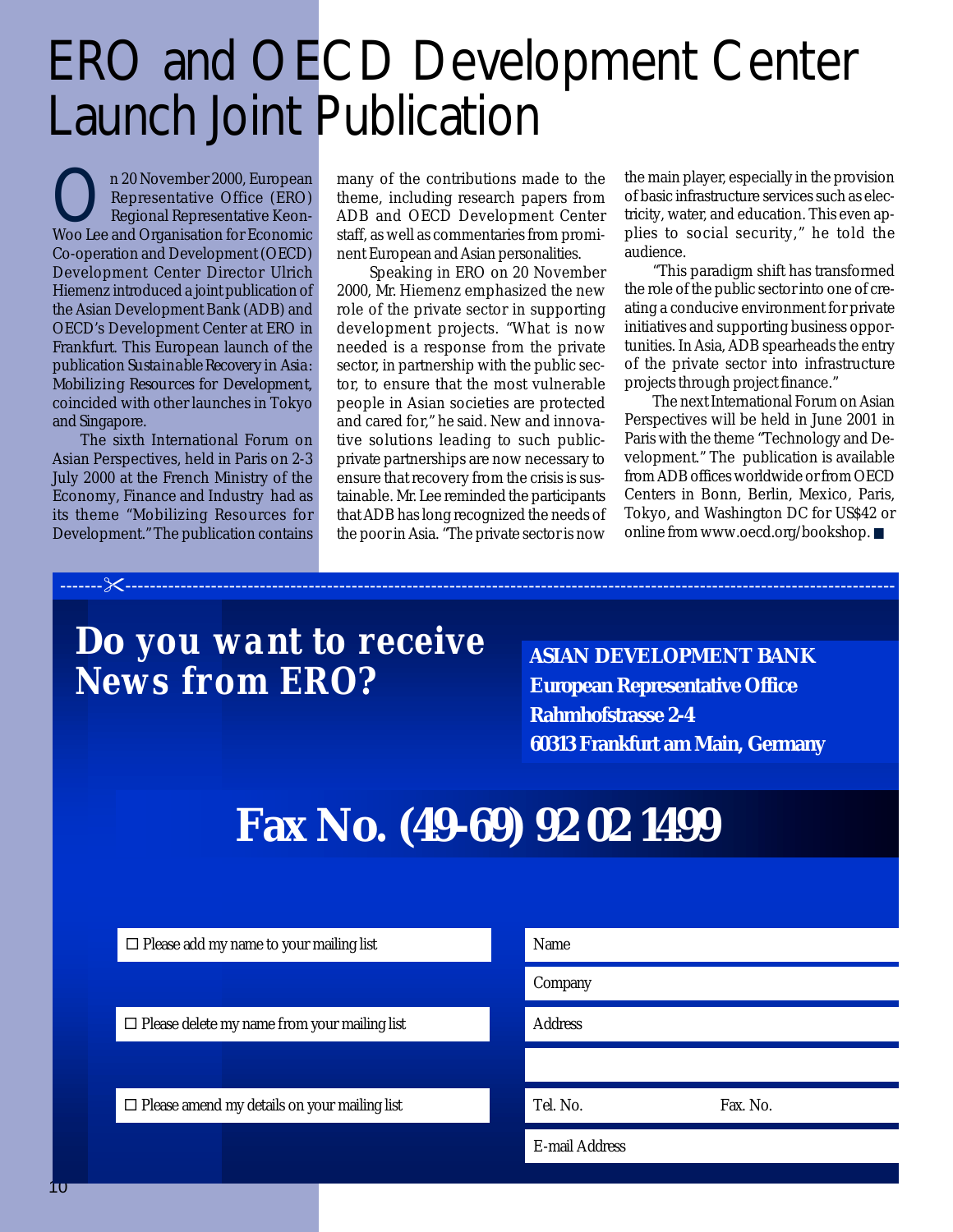## ERO and OECD Development Center Launch Joint Publication

n 20 November 2000, European<br>Representative Office (ERO)<br>Weo Lee and Organisation for Economic Representative Office (ERO) Regional Representative Keon-Woo Lee and Organisation for Economic Co-operation and Development (OECD) Development Center Director Ulrich Hiemenz introduced a joint publication of the Asian Development Bank (ADB) and OECD's Development Center at ERO in Frankfurt. This European launch of the publication *Sustainable Recovery in Asia: Mobilizing Resources for Development*, coincided with other launches in Tokyo and Singapore.

The sixth International Forum on Asian Perspectives, held in Paris on 2-3 July 2000 at the French Ministry of the Economy, Finance and Industry had as its theme "Mobilizing Resources for Development." The publication contains many of the contributions made to the theme, including research papers from ADB and OECD Development Center staff, as well as commentaries from prominent European and Asian personalities.

 Speaking in ERO on 20 November 2000, Mr. Hiemenz emphasized the new role of the private sector in supporting development projects. "What is now needed is a response from the private sector, in partnership with the public sector, to ensure that the most vulnerable people in Asian societies are protected and cared for," he said. New and innovative solutions leading to such publicprivate partnerships are now necessary to ensure that recovery from the crisis is sustainable. Mr. Lee reminded the participants that ADB has long recognized the needs of the poor in Asia. "The private sector is now

-------!------------------------------------------------------------------------------------------------------------------------------

the main player, especially in the provision of basic infrastructure services such as electricity, water, and education. This even applies to social security," he told the audience.

"This paradigm shift has transformed the role of the public sector into one of creating a conducive environment for private initiatives and supporting business opportunities. In Asia, ADB spearheads the entry of the private sector into infrastructure projects through project finance."

The next International Forum on Asian Perspectives will be held in June 2001 in Paris with the theme "Technology and Development." The publication is available from ADB offices worldwide or from OECD Centers in Bonn, Berlin, Mexico, Paris, Tokyo, and Washington DC for US\$42 or online from www.oecd.org/bookshop. ■

### **Do** *you want to receive News from ERO***?**

**ASIAN DEVELOPMENT BANK European Representative Office Rahmhofstrasse 2-4 60313 Frankfurt am Main, Germany**

### **Fax No. (49-69) 92 02 1499**

 $\Box$  Please add my name to your mailing list

 $\Box$  Please delete my name from your mailing list

 $\Box$  Please amend my details on your mailing list

| Name           |          |
|----------------|----------|
| Company        |          |
| Address        |          |
|                |          |
| Tel. No.       | Fax. No. |
| E-mail Address |          |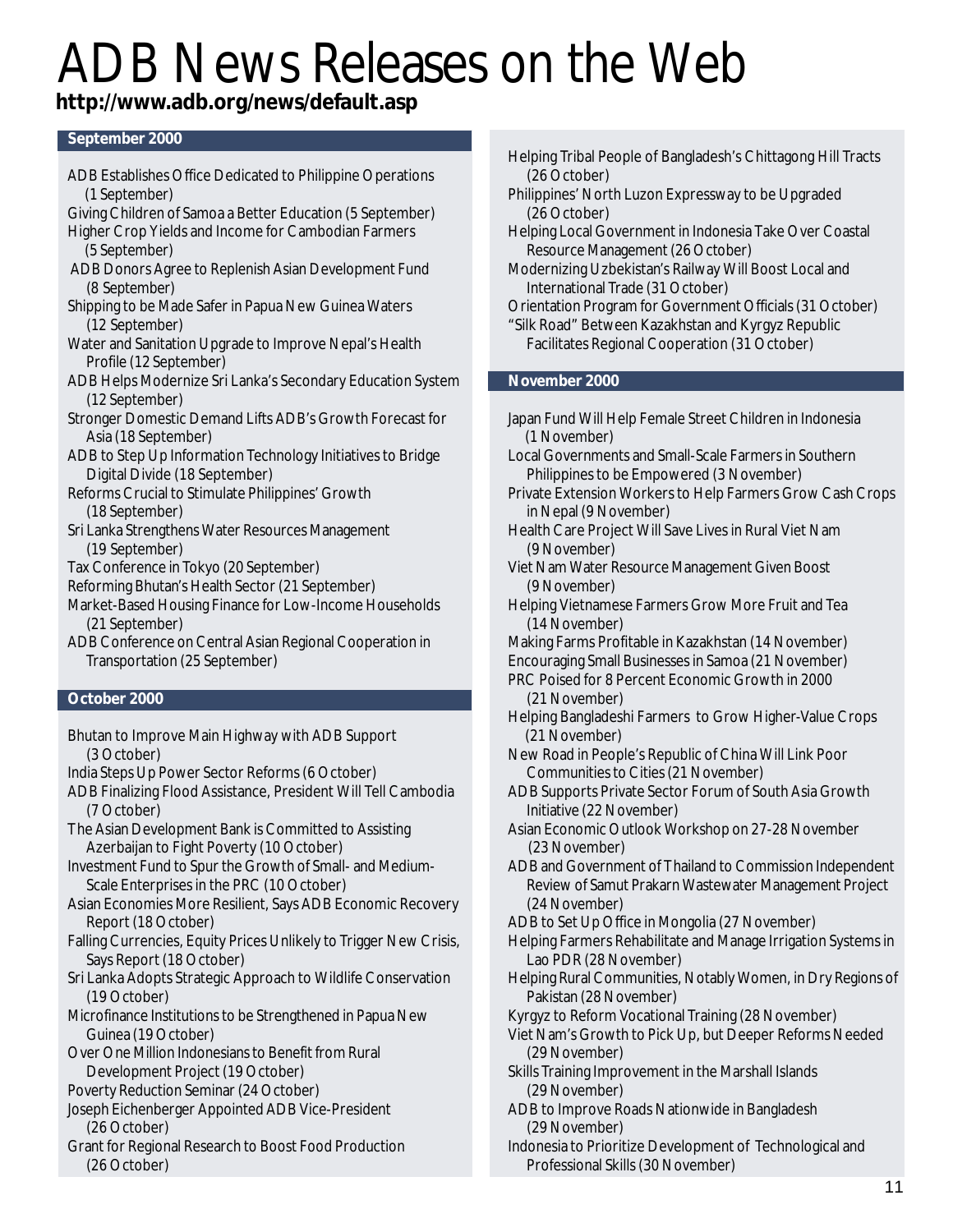## ADB News Releases on the Web

#### **http://www.adb.org/news/default.asp**

#### **September 2000**

- ADB Establishes Office Dedicated to Philippine Operations (1 September) Giving Children of Samoa a Better Education (5 September) Higher Crop Yields and Income for Cambodian Farmers (5 September) ADB Donors Agree to Replenish Asian Development Fund (8 September) Shipping to be Made Safer in Papua New Guinea Waters (12 September) Water and Sanitation Upgrade to Improve Nepal's Health Profile (12 September) ADB Helps Modernize Sri Lanka's Secondary Education System (12 September) Stronger Domestic Demand Lifts ADB's Growth Forecast for Asia (18 September) ADB to Step Up Information Technology Initiatives to Bridge Digital Divide (18 September) Reforms Crucial to Stimulate Philippines' Growth (18 September) Sri Lanka Strengthens Water Resources Management (19 September) Tax Conference in Tokyo (20 September)
- 
- Reforming Bhutan's Health Sector (21 September)
- Market-Based Housing Finance for Low-Income Households (21 September)
- ADB Conference on Central Asian Regional Cooperation in Transportation (25 September)

#### **October 2000**

- Bhutan to Improve Main Highway with ADB Support (3 October)
- India Steps Up Power Sector Reforms (6 October)
- ADB Finalizing Flood Assistance, President Will Tell Cambodia (7 October)
- The Asian Development Bank is Committed to Assisting Azerbaijan to Fight Poverty (10 October)
- Investment Fund to Spur the Growth of Small- and Medium-Scale Enterprises in the PRC (10 October)
- Asian Economies More Resilient, Says ADB Economic Recovery Report (18 October)
- Falling Currencies, Equity Prices Unlikely to Trigger New Crisis, Says Report (18 October)
- Sri Lanka Adopts Strategic Approach to Wildlife Conservation (19 October)
- Microfinance Institutions to be Strengthened in Papua New Guinea (19 October)
- Over One Million Indonesians to Benefit from Rural Development Project (19 October)
- Poverty Reduction Seminar (24 October)
- Joseph Eichenberger Appointed ADB Vice-President (26 October)
- Grant for Regional Research to Boost Food Production (26 October)
- Helping Tribal People of Bangladesh's Chittagong Hill Tracts (26 October)
- Philippines' North Luzon Expressway to be Upgraded (26 October)
- Helping Local Government in Indonesia Take Over Coastal Resource Management (26 October)
- Modernizing Uzbekistan's Railway Will Boost Local and International Trade (31 October)
- Orientation Program for Government Officials (31 October) "Silk Road" Between Kazakhstan and Kyrgyz Republic
	- Facilitates Regional Cooperation (31 October)

#### **November 2000**

- Japan Fund Will Help Female Street Children in Indonesia (1 November)
- Local Governments and Small-Scale Farmers in Southern Philippines to be Empowered (3 November)
- Private Extension Workers to Help Farmers Grow Cash Crops in Nepal (9 November)
- Health Care Project Will Save Lives in Rural Viet Nam (9 November)
- Viet Nam Water Resource Management Given Boost (9 November)
- Helping Vietnamese Farmers Grow More Fruit and Tea (14 November)
- Making Farms Profitable in Kazakhstan (14 November)
- Encouraging Small Businesses in Samoa (21 November)
- PRC Poised for 8 Percent Economic Growth in 2000 (21 November)
- Helping Bangladeshi Farmers to Grow Higher-Value Crops (21 November)
- New Road in People's Republic of China Will Link Poor Communities to Cities (21 November)
- ADB Supports Private Sector Forum of South Asia Growth Initiative (22 November)
- Asian Economic Outlook Workshop on 27-28 November (23 November)
- ADB and Government of Thailand to Commission Independent Review of Samut Prakarn Wastewater Management Project (24 November)
- ADB to Set Up Office in Mongolia (27 November)
- Helping Farmers Rehabilitate and Manage Irrigation Systems in Lao PDR (28 November)
- Helping Rural Communities, Notably Women, in Dry Regions of Pakistan (28 November)

Kyrgyz to Reform Vocational Training (28 November)

- Viet Nam's Growth to Pick Up, but Deeper Reforms Needed (29 November)
- Skills Training Improvement in the Marshall Islands (29 November)
- ADB to Improve Roads Nationwide in Bangladesh (29 November)
- Indonesia to Prioritize Development of Technological and Professional Skills (30 November)